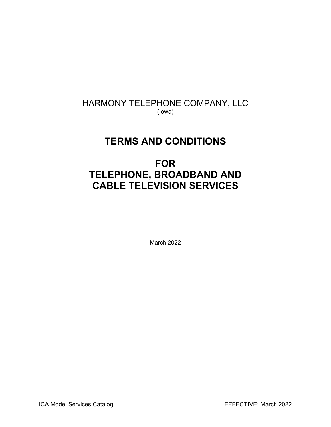# HARMONY TELEPHONE COMPANY, LLC (Iowa)

# **TERMS AND CONDITIONS**

# **FOR TELEPHONE, BROADBAND AND CABLE TELEVISION SERVICES**

March 2022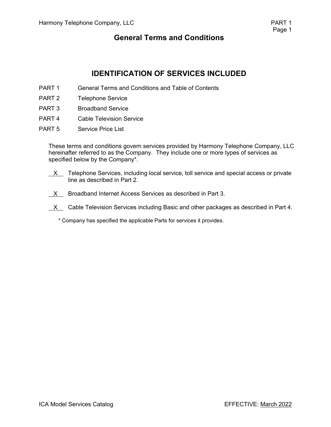# **IDENTIFICATION OF SERVICES INCLUDED**

- PART 1 General Terms and Conditions and Table of Contents
- PART 2 Telephone Service
- PART 3 Broadband Service
- PART 4 Cable Television Service
- PART 5 Service Price List

These terms and conditions govern services provided by Harmony Telephone Company, LLC hereinafter referred to as the Company. They include one or more types of services as specified below by the Company\*.

- $X$  Telephone Services, including local service, toll service and special access or private line as described in Part 2.
- $X$  Broadband Internet Access Services as described in Part 3.
- $X$  Cable Television Services including Basic and other packages as described in Part 4.
	- \* Company has specified the applicable Parts for services it provides.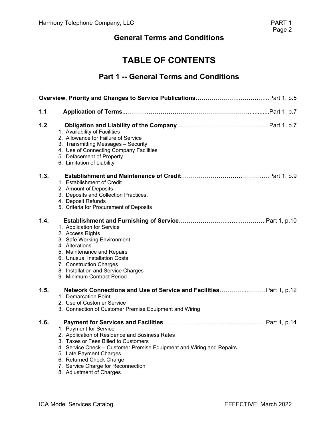# **TABLE OF CONTENTS**

# **Part 1 -- General Terms and Conditions**

| 1.1  |                                                                                                                                                                                                                                                                                                                   |
|------|-------------------------------------------------------------------------------------------------------------------------------------------------------------------------------------------------------------------------------------------------------------------------------------------------------------------|
| 1.2  | 1. Availability of Facilities<br>2. Allowance for Failure of Service<br>3. Transmitting Messages - Security<br>4. Use of Connecting Company Facilities<br>5. Defacement of Property<br>6. Limitation of Liability                                                                                                 |
| 1.3. | 1. Establishment of Credit<br>2. Amount of Deposits<br>3. Deposits and Collection Practices.<br>4. Deposit Refunds<br>5. Criteria for Procurement of Deposits                                                                                                                                                     |
| 1.4. | 1. Application for Service<br>2. Access Rights<br>3. Safe Working Environment<br>4. Alterations<br>5. Maintenance and Repairs<br>6. Unusual Installation Costs<br>7. Construction Charges<br>8. Installation and Service Charges<br>9. Minimum Contract Period                                                    |
| 1.5. | Network Connections and Use of Service and FacilitiesPart 1, p.12<br>1. Demarcation Point.<br>2. Use of Customer Service<br>3. Connection of Customer Premise Equipment and Wiring                                                                                                                                |
| 1.6. | 1. Payment for Service<br>2. Application of Residence and Business Rates<br>3. Taxes or Fees Billed to Customers<br>4. Service Check – Customer Premise Equipment and Wiring and Repairs<br>5. Late Payment Charges<br>6. Returned Check Charge<br>7. Service Charge for Reconnection<br>8. Adjustment of Charges |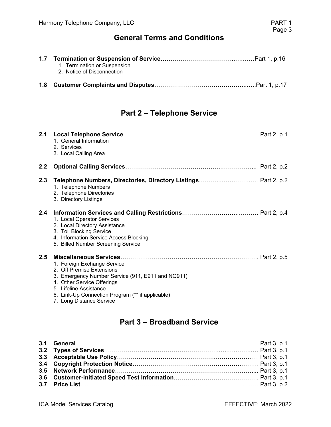| 1. Termination or Suspension<br>2. Notice of Disconnection |
|------------------------------------------------------------|
|                                                            |

# **Part 2 – Telephone Service**

| 2.1 | 1. General Information<br>2. Services<br>3. Local Calling Area                                                                                                                                                                                        |  |
|-----|-------------------------------------------------------------------------------------------------------------------------------------------------------------------------------------------------------------------------------------------------------|--|
| 2.2 |                                                                                                                                                                                                                                                       |  |
| 2.3 | 1. Telephone Numbers<br>2. Telephone Directories<br>3. Directory Listings                                                                                                                                                                             |  |
| 2.4 | 1. Local Operator Services<br>2. Local Directory Assistance<br>3. Toll Blocking Service<br>4. Information Service Access Blocking<br>5. Billed Number Screening Service                                                                               |  |
| 2.5 | 1. Foreign Exchange Service<br>2. Off Premise Extensions<br>3. Emergency Number Service (911, E911 and NG911)<br>4. Other Service Offerings<br>5. Lifeline Assistance<br>6. Link-Up Connection Program (** if applicable)<br>7. Long Distance Service |  |

# **Part 3 – Broadband Service**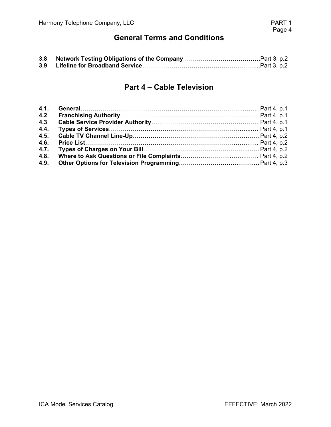| 3.8 |  |
|-----|--|
| 3.9 |  |

### **Part 4 – Cable Television**

| 4.2  |  |
|------|--|
| 4.3  |  |
| 4.4. |  |
|      |  |
|      |  |
| 4.7. |  |
|      |  |
| 4.9. |  |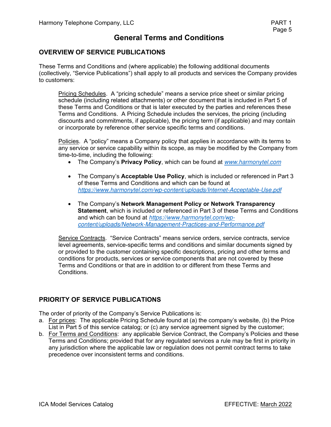### **OVERVIEW OF SERVICE PUBLICATIONS**

These Terms and Conditions and (where applicable) the following additional documents (collectively, "Service Publications") shall apply to all products and services the Company provides to customers:

Pricing Schedules. A "pricing schedule" means a service price sheet or similar pricing schedule (including related attachments) or other document that is included in Part 5 of these Terms and Conditions or that is later executed by the parties and references these Terms and Conditions. A Pricing Schedule includes the services, the pricing (including discounts and commitments, if applicable), the pricing term (if applicable) and may contain or incorporate by reference other service specific terms and conditions.

Policies. A "policy" means a Company policy that applies in accordance with its terms to any service or service capability within its scope, as may be modified by the Company from time-to-time, including the following:

- The Company's **Privacy Policy**, which can be found at *www.harmonytel.com*
- The Company's **Acceptable Use Policy**, which is included or referenced in Part 3 of these Terms and Conditions and which can be found at *https://www.harmonytel.com/wp-content/uploads/Internet-Acceptable-Use.pdf*
- The Company's **Network Management Policy or Network Transparency Statement**, which is included or referenced in Part 3 of these Terms and Conditions and which can be found at *https://www.harmonytel.com/wpcontent/uploads/Network-Management-Practices-and-Performance.pdf*

Service Contracts. "Service Contracts" means service orders, service contracts, service level agreements, service-specific terms and conditions and similar documents signed by or provided to the customer containing specific descriptions, pricing and other terms and conditions for products, services or service components that are not covered by these Terms and Conditions or that are in addition to or different from these Terms and Conditions.

#### **PRIORITY OF SERVICE PUBLICATIONS**

The order of priority of the Company's Service Publications is:

- a. For prices: The applicable Pricing Schedule found at (a) the company's website, (b) the Price List in Part 5 of this service catalog; or (c) any service agreement signed by the customer;
- b. For Terms and Conditions: any applicable Service Contract, the Company's Policies and these Terms and Conditions; provided that for any regulated services a rule may be first in priority in any jurisdiction where the applicable law or regulation does not permit contract terms to take precedence over inconsistent terms and conditions.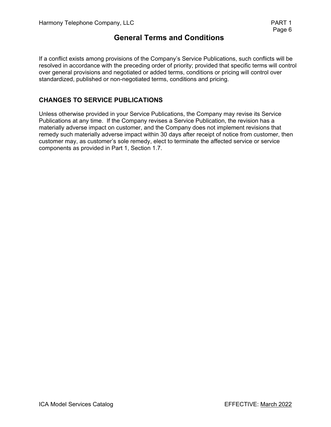If a conflict exists among provisions of the Company's Service Publications, such conflicts will be resolved in accordance with the preceding order of priority; provided that specific terms will control over general provisions and negotiated or added terms, conditions or pricing will control over standardized, published or non-negotiated terms, conditions and pricing.

### **CHANGES TO SERVICE PUBLICATIONS**

Unless otherwise provided in your Service Publications, the Company may revise its Service Publications at any time. If the Company revises a Service Publication, the revision has a materially adverse impact on customer, and the Company does not implement revisions that remedy such materially adverse impact within 30 days after receipt of notice from customer, then customer may, as customer's sole remedy, elect to terminate the affected service or service components as provided in Part 1, Section 1.7.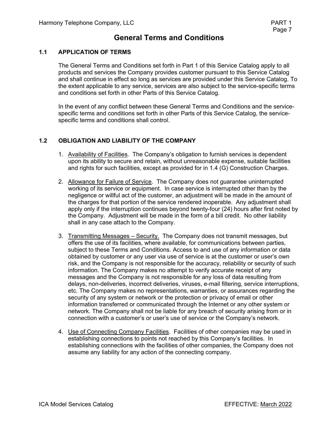#### **1.1 APPLICATION OF TERMS**

The General Terms and Conditions set forth in Part 1 of this Service Catalog apply to all products and services the Company provides customer pursuant to this Service Catalog and shall continue in effect so long as services are provided under this Service Catalog. To the extent applicable to any service, services are also subject to the service-specific terms and conditions set forth in other Parts of this Service Catalog.

In the event of any conflict between these General Terms and Conditions and the servicespecific terms and conditions set forth in other Parts of this Service Catalog, the servicespecific terms and conditions shall control.

#### **1.2 OBLIGATION AND LIABILITY OF THE COMPANY**

- 1. Availability of Facilities. The Company's obligation to furnish services is dependent upon its ability to secure and retain, without unreasonable expense, suitable facilities and rights for such facilities, except as provided for in 1.4 (G) Construction Charges.
- 2. Allowance for Failure of Service. The Company does not guarantee uninterrupted working of its service or equipment. In case service is interrupted other than by the negligence or willful act of the customer, an adjustment will be made in the amount of the charges for that portion of the service rendered inoperable. Any adjustment shall apply only if the interruption continues beyond twenty-four (24) hours after first noted by the Company. Adjustment will be made in the form of a bill credit. No other liability shall in any case attach to the Company.
- 3. Transmitting Messages Security. The Company does not transmit messages, but offers the use of its facilities, where available, for communications between parties, subject to these Terms and Conditions. Access to and use of any information or data obtained by customer or any user via use of service is at the customer or user's own risk, and the Company is not responsible for the accuracy, reliability or security of such information. The Company makes no attempt to verify accurate receipt of any messages and the Company is not responsible for any loss of data resulting from delays, non-deliveries, incorrect deliveries, viruses, e-mail filtering, service interruptions, etc. The Company makes no representations, warranties, or assurances regarding the security of any system or network or the protection or privacy of email or other information transferred or communicated through the Internet or any other system or network. The Company shall not be liable for any breach of security arising from or in connection with a customer's or user's use of service or the Company's network.
- 4. Use of Connecting Company Facilities. Facilities of other companies may be used in establishing connections to points not reached by this Company's facilities. In establishing connections with the facilities of other companies, the Company does not assume any liability for any action of the connecting company.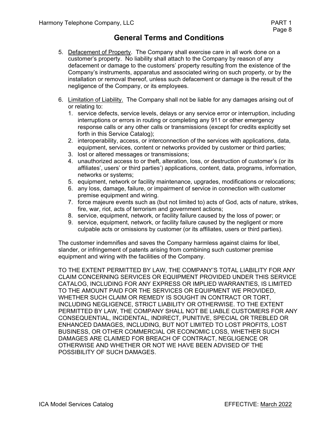- 5. Defacement of Property. The Company shall exercise care in all work done on a customer's property. No liability shall attach to the Company by reason of any defacement or damage to the customers' property resulting from the existence of the Company's instruments, apparatus and associated wiring on such property, or by the installation or removal thereof, unless such defacement or damage is the result of the negligence of the Company, or its employees.
- 6. Limitation of Liability. The Company shall not be liable for any damages arising out of or relating to:
	- 1. service defects, service levels, delays or any service error or interruption, including interruptions or errors in routing or completing any 911 or other emergency response calls or any other calls or transmissions (except for credits explicitly set forth in this Service Catalog);
	- 2. interoperability, access, or interconnection of the services with applications, data, equipment, services, content or networks provided by customer or third parties;
	- 3. lost or altered messages or transmissions;
	- 4. unauthorized access to or theft, alteration, loss, or destruction of customer's (or its affiliates', users' or third parties') applications, content, data, programs, information, networks or systems;
	- 5. equipment, network or facility maintenance, upgrades, modifications or relocations;
	- 6. any loss, damage, failure, or impairment of service in connection with customer premise equipment and wiring.
	- 7. force majeure events such as (but not limited to) acts of God, acts of nature, strikes, fire, war, riot, acts of terrorism and government actions;
	- 8. service, equipment, network, or facility failure caused by the loss of power; or
	- 9. service, equipment, network, or facility failure caused by the negligent or more culpable acts or omissions by customer (or its affiliates, users or third parties).

The customer indemnifies and saves the Company harmless against claims for libel, slander, or infringement of patents arising from combining such customer premise equipment and wiring with the facilities of the Company.

TO THE EXTENT PERMITTED BY LAW, THE COMPANY'S TOTAL LIABILITY FOR ANY CLAIM CONCERNING SERVICES OR EQUIPMENT PROVIDED UNDER THIS SERVICE CATALOG, INCLUDING FOR ANY EXPRESS OR IMPLIED WARRANTIES, IS LIMITED TO THE AMOUNT PAID FOR THE SERVICES OR EQUIPMENT WE PROVIDED, WHETHER SUCH CLAIM OR REMEDY IS SOUGHT IN CONTRACT OR TORT, INCLUDING NEGLIGENCE, STRICT LIABILITY OR OTHERWISE. TO THE EXTENT PERMITTED BY LAW, THE COMPANY SHALL NOT BE LIABLE CUSTOMERS FOR ANY CONSEQUENTIAL, INCIDENTAL, INDIRECT, PUNITIVE, SPECIAL OR TREBLED OR ENHANCED DAMAGES, INCLUDING, BUT NOT LIMITED TO LOST PROFITS, LOST BUSINESS, OR OTHER COMMERCIAL OR ECONOMIC LOSS, WHETHER SUCH DAMAGES ARE CLAIMED FOR BREACH OF CONTRACT, NEGLIGENCE OR OTHERWISE AND WHETHER OR NOT WE HAVE BEEN ADVISED OF THE POSSIBILITY OF SUCH DAMAGES.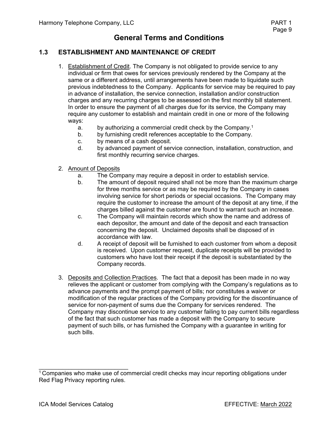#### **1.3 ESTABLISHMENT AND MAINTENANCE OF CREDIT**

- 1. Establishment of Credit. The Company is not obligated to provide service to any individual or firm that owes for services previously rendered by the Company at the same or a different address, until arrangements have been made to liquidate such previous indebtedness to the Company. Applicants for service may be required to pay in advance of installation, the service connection, installation and/or construction charges and any recurring charges to be assessed on the first monthly bill statement. In order to ensure the payment of all charges due for its service, the Company may require any customer to establish and maintain credit in one or more of the following ways:
	- a. by authorizing a commercial credit check by the Company.<sup>1</sup>
	- b. by furnishing credit references acceptable to the Company.
	- c. by means of a cash deposit.<br>d. by advanced payment of ser-
	- by advanced payment of service connection, installation, construction, and first monthly recurring service charges.
- 2. Amount of Deposits
	- a. The Company may require a deposit in order to establish service.
	- b. The amount of deposit required shall not be more than the maximum charge for three months service or as may be required by the Company in cases involving service for short periods or special occasions. The Company may require the customer to increase the amount of the deposit at any time, if the charges billed against the customer are found to warrant such an increase.
	- c. The Company will maintain records which show the name and address of each depositor, the amount and date of the deposit and each transaction concerning the deposit. Unclaimed deposits shall be disposed of in accordance with law.
	- d. A receipt of deposit will be furnished to each customer from whom a deposit is received. Upon customer request, duplicate receipts will be provided to customers who have lost their receipt if the deposit is substantiated by the Company records.
- 3. Deposits and Collection Practices. The fact that a deposit has been made in no way relieves the applicant or customer from complying with the Company's regulations as to advance payments and the prompt payment of bills; nor constitutes a waiver or modification of the regular practices of the Company providing for the discontinuance of service for non-payment of sums due the Company for services rendered. The Company may discontinue service to any customer failing to pay current bills regardless of the fact that such customer has made a deposit with the Company to secure payment of such bills, or has furnished the Company with a guarantee in writing for such bills.

 $\overline{\phantom{a}}$  , where  $\overline{\phantom{a}}$  , where  $\overline{\phantom{a}}$  , where  $\overline{\phantom{a}}$ 

<sup>&</sup>lt;sup>1</sup> Companies who make use of commercial credit checks may incur reporting obligations under Red Flag Privacy reporting rules.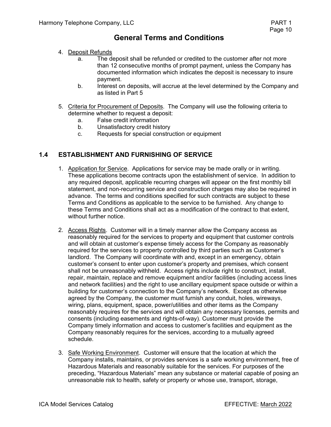- 4. Deposit Refunds
	- a. The deposit shall be refunded or credited to the customer after not more than 12 consecutive months of prompt payment, unless the Company has documented information which indicates the deposit is necessary to insure payment.
	- b. Interest on deposits, will accrue at the level determined by the Company and as listed in Part 5
- 5. Criteria for Procurement of Deposits. The Company will use the following criteria to determine whether to request a deposit:
	- a. False credit information
	- b. Unsatisfactory credit history
	- c. Requests for special construction or equipment

#### **1.4 ESTABLISHMENT AND FURNISHING OF SERVICE**

- 1. Application for Service. Applications for service may be made orally or in writing. These applications become contracts upon the establishment of service. In addition to any required deposit, applicable recurring charges will appear on the first monthly bill statement, and non-recurring service and construction charges may also be required in advance. The terms and conditions specified for such contracts are subject to these Terms and Conditions as applicable to the service to be furnished. Any change to these Terms and Conditions shall act as a modification of the contract to that extent, without further notice.
- 2. Access Rights. Customer will in a timely manner allow the Company access as reasonably required for the services to property and equipment that customer controls and will obtain at customer's expense timely access for the Company as reasonably required for the services to property controlled by third parties such as Customer's landlord. The Company will coordinate with and, except in an emergency, obtain customer's consent to enter upon customer's property and premises, which consent shall not be unreasonably withheld. Access rights include right to construct, install, repair, maintain, replace and remove equipment and/or facilities (including access lines and network facilities) and the right to use ancillary equipment space outside or within a building for customer's connection to the Company's network. Except as otherwise agreed by the Company, the customer must furnish any conduit, holes, wireways, wiring, plans, equipment, space, power/utilities and other items as the Company reasonably requires for the services and will obtain any necessary licenses, permits and consents (including easements and rights-of-way). Customer must provide the Company timely information and access to customer's facilities and equipment as the Company reasonably requires for the services, according to a mutually agreed schedule.
- 3. Safe Working Environment. Customer will ensure that the location at which the Company installs, maintains, or provides services is a safe working environment, free of Hazardous Materials and reasonably suitable for the services. For purposes of the preceding, "Hazardous Materials" mean any substance or material capable of posing an unreasonable risk to health, safety or property or whose use, transport, storage,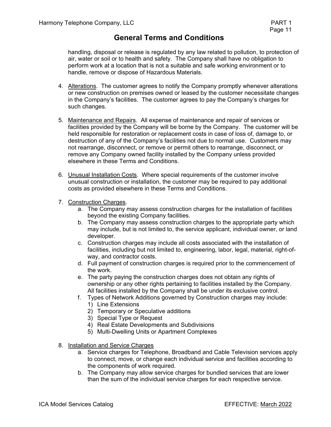handling, disposal or release is regulated by any law related to pollution, to protection of air, water or soil or to health and safety. The Company shall have no obligation to perform work at a location that is not a suitable and safe working environment or to handle, remove or dispose of Hazardous Materials.

- 4. Alterations. The customer agrees to notify the Company promptly whenever alterations or new construction on premises owned or leased by the customer necessitate changes in the Company's facilities. The customer agrees to pay the Company's charges for such changes.
- 5. Maintenance and Repairs. All expense of maintenance and repair of services or facilities provided by the Company will be borne by the Company. The customer will be held responsible for restoration or replacement costs in case of loss of, damage to, or destruction of any of the Company's facilities not due to normal use. Customers may not rearrange, disconnect, or remove or permit others to rearrange, disconnect, or remove any Company owned facility installed by the Company unless provided elsewhere in these Terms and Conditions.
- 6. Unusual Installation Costs. Where special requirements of the customer involve unusual construction or installation, the customer may be required to pay additional costs as provided elsewhere in these Terms and Conditions.
- 7. Construction Charges.
	- a. The Company may assess construction charges for the installation of facilities beyond the existing Company facilities.
	- b. The Company may assess construction charges to the appropriate party which may include, but is not limited to, the service applicant, individual owner, or land developer.
	- c. Construction charges may include all costs associated with the installation of facilities, including but not limited to, engineering, labor, legal, material, right-ofway, and contractor costs.
	- d. Full payment of construction charges is required prior to the commencement of the work.
	- e. The party paying the construction charges does not obtain any rights of ownership or any other rights pertaining to facilities installed by the Company. All facilities installed by the Company shall be under its exclusive control.
	- f. Types of Network Additions governed by Construction charges may include:
		- 1) Line Extensions
		- 2) Temporary or Speculative additions
		- 3) Special Type or Request
		- 4) Real Estate Developments and Subdivisions
		- 5) Multi-Dwelling Units or Apartment Complexes
- 8. Installation and Service Charges
	- a. Service charges for Telephone, Broadband and Cable Television services apply to connect, move, or change each individual service and facilities according to the components of work required.
	- b. The Company may allow service charges for bundled services that are lower than the sum of the individual service charges for each respective service.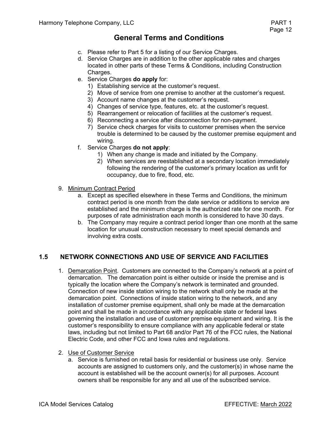- c. Please refer to Part 5 for a listing of our Service Charges.
- d. Service Charges are in addition to the other applicable rates and charges located in other parts of these Terms & Conditions, including Construction Charges.
- e. Service Charges **do apply** for:
	- 1) Establishing service at the customer's request.
	- 2) Move of service from one premise to another at the customer's request.
	- 3) Account name changes at the customer's request.
	- 4) Changes of service type, features, etc. at the customer's request.
	- 5) Rearrangement or relocation of facilities at the customer's request.
	- 6) Reconnecting a service after disconnection for non-payment.
	- 7) Service check charges for visits to customer premises when the service trouble is determined to be caused by the customer premise equipment and wiring.
- f. Service Charges **do not apply**:
	- 1) When any change is made and initiated by the Company.
	- 2) When services are reestablished at a secondary location immediately following the rendering of the customer's primary location as unfit for occupancy, due to fire, flood, etc.
- 9. Minimum Contract Period
	- a. Except as specified elsewhere in these Terms and Conditions, the minimum contract period is one month from the date service or additions to service are established and the minimum charge is the authorized rate for one month. For purposes of rate administration each month is considered to have 30 days.
	- b. The Company may require a contract period longer than one month at the same location for unusual construction necessary to meet special demands and involving extra costs.

### **1.5 NETWORK CONNECTIONS AND USE OF SERVICE AND FACILITIES**

- 1. Demarcation Point. Customers are connected to the Company's network at a point of demarcation. The demarcation point is either outside or inside the premise and is typically the location where the Company's network is terminated and grounded. Connection of new inside station wiring to the network shall only be made at the demarcation point. Connections of inside station wiring to the network, and any installation of customer premise equipment, shall only be made at the demarcation point and shall be made in accordance with any applicable state or federal laws governing the installation and use of customer premise equipment and wiring. It is the customer's responsibility to ensure compliance with any applicable federal or state laws, including but not limited to Part 68 and/or Part 76 of the FCC rules, the National Electric Code, and other FCC and Iowa rules and regulations.
- 2. Use of Customer Service
	- a. Service is furnished on retail basis for residential or business use only. Service accounts are assigned to customers only, and the customer(s) in whose name the account is established will be the account owner(s) for all purposes. Account owners shall be responsible for any and all use of the subscribed service.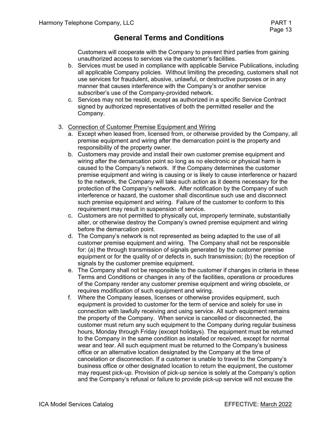Customers will cooperate with the Company to prevent third parties from gaining unauthorized access to services via the customer's facilities.

- b. Services must be used in compliance with applicable Service Publications, including all applicable Company policies. Without limiting the preceding, customers shall not use services for fraudulent, abusive, unlawful, or destructive purposes or in any manner that causes interference with the Company's or another service subscriber's use of the Company-provided network.
- c. Services may not be resold, except as authorized in a specific Service Contract signed by authorized representatives of both the permitted reseller and the Company.
- 3. Connection of Customer Premise Equipment and Wiring
	- a. Except when leased from, licensed from, or otherwise provided by the Company, all premise equipment and wiring after the demarcation point is the property and responsibility of the property owner.
	- b. Customers may provide and install their own customer premise equipment and wiring after the demarcation point so long as no electronic or physical harm is caused to the Company's network. If the Company determines the customer premise equipment and wiring is causing or is likely to cause interference or hazard to the network, the Company will take such action as it deems necessary for the protection of the Company's network. After notification by the Company of such interference or hazard, the customer shall discontinue such use and disconnect such premise equipment and wiring. Failure of the customer to conform to this requirement may result in suspension of service.
	- c. Customers are not permitted to physically cut, improperly terminate, substantially alter, or otherwise destroy the Company's owned premise equipment and wiring before the demarcation point.
	- d. The Company's network is not represented as being adapted to the use of all customer premise equipment and wiring. The Company shall not be responsible for: (a) the through transmission of signals generated by the customer premise equipment or for the quality of or defects in, such transmission; (b) the reception of signals by the customer premise equipment.
	- e. The Company shall not be responsible to the customer if changes in criteria in these Terms and Conditions or changes in any of the facilities, operations or procedures of the Company render any customer premise equipment and wiring obsolete, or requires modification of such equipment and wiring.
	- f. Where the Company leases, licenses or otherwise provides equipment, such equipment is provided to customer for the term of service and solely for use in connection with lawfully receiving and using service. All such equipment remains the property of the Company. When service is cancelled or disconnected, the customer must return any such equipment to the Company during regular business hours, Monday through Friday (except holidays). The equipment must be returned to the Company in the same condition as installed or received, except for normal wear and tear. All such equipment must be returned to the Company's business office or an alternative location designated by the Company at the time of cancelation or disconnection. If a customer is unable to travel to the Company's business office or other designated location to return the equipment, the customer may request pick-up. Provision of pick-up service is solely at the Company's option and the Company's refusal or failure to provide pick-up service will not excuse the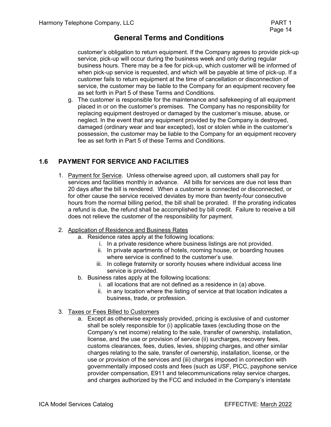customer's obligation to return equipment. If the Company agrees to provide pick-up service, pick-up will occur during the business week and only during regular business hours. There may be a fee for pick-up, which customer will be informed of when pick-up service is requested, and which will be payable at time of pick-up. If a customer fails to return equipment at the time of cancellation or disconnection of service, the customer may be liable to the Company for an equipment recovery fee as set forth in Part 5 of these Terms and Conditions.

g. The customer is responsible for the maintenance and safekeeping of all equipment placed in or on the customer's premises. The Company has no responsibility for replacing equipment destroyed or damaged by the customer's misuse, abuse, or neglect. In the event that any equipment provided by the Company is destroyed, damaged (ordinary wear and tear excepted), lost or stolen while in the customer's possession, the customer may be liable to the Company for an equipment recovery fee as set forth in Part 5 of these Terms and Conditions.

### **1.6 PAYMENT FOR SERVICE AND FACILITIES**

- 1. Payment for Service. Unless otherwise agreed upon, all customers shall pay for services and facilities monthly in advance. All bills for services are due not less than 20 days after the bill is rendered. When a customer is connected or disconnected, or for other cause the service received deviates by more than twenty-four consecutive hours from the normal billing period, the bill shall be prorated. If the prorating indicates a refund is due, the refund shall be accomplished by bill credit. Failure to receive a bill does not relieve the customer of the responsibility for payment.
- 2. Application of Residence and Business Rates
	- a. Residence rates apply at the following locations:
		- i. In a private residence where business listings are not provided.
		- ii. In private apartments of hotels, rooming house, or boarding houses where service is confined to the customer's use.
		- iii. In college fraternity or sorority houses where individual access line service is provided.
	- b. Business rates apply at the following locations:
		- i. all locations that are not defined as a residence in (a) above.
		- ii. in any location where the listing of service at that location indicates a business, trade, or profession.
- 3. Taxes or Fees Billed to Customers
	- a. Except as otherwise expressly provided, pricing is exclusive of and customer shall be solely responsible for (i) applicable taxes (excluding those on the Company's net income) relating to the sale, transfer of ownership, installation, license, and the use or provision of service (ii) surcharges, recovery fees, customs clearances, fees, duties, levies, shipping charges, and other similar charges relating to the sale, transfer of ownership, installation, license, or the use or provision of the services and (iii) charges imposed in connection with governmentally imposed costs and fees (such as USF, PICC, payphone service provider compensation, E911 and telecommunications relay service charges, and charges authorized by the FCC and included in the Company's interstate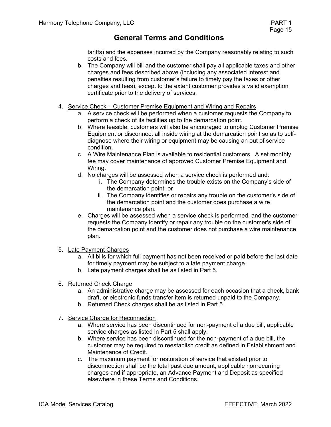tariffs) and the expenses incurred by the Company reasonably relating to such costs and fees.

- b. The Company will bill and the customer shall pay all applicable taxes and other charges and fees described above (including any associated interest and penalties resulting from customer's failure to timely pay the taxes or other charges and fees), except to the extent customer provides a valid exemption certificate prior to the delivery of services.
- 4. Service Check Customer Premise Equipment and Wiring and Repairs
	- a. A service check will be performed when a customer requests the Company to perform a check of its facilities up to the demarcation point.
	- b. Where feasible, customers will also be encouraged to unplug Customer Premise Equipment or disconnect all inside wiring at the demarcation point so as to selfdiagnose where their wiring or equipment may be causing an out of service condition.
	- c. A Wire Maintenance Plan is available to residential customers. A set monthly fee may cover maintenance of approved Customer Premise Equipment and Wiring.
	- d. No charges will be assessed when a service check is performed and:
		- i. The Company determines the trouble exists on the Company's side of the demarcation point; or
		- ii. The Company identifies or repairs any trouble on the customer's side of the demarcation point and the customer does purchase a wire maintenance plan.
	- e. Charges will be assessed when a service check is performed, and the customer requests the Company identify or repair any trouble on the customer's side of the demarcation point and the customer does not purchase a wire maintenance plan.
- 5. Late Payment Charges
	- a. All bills for which full payment has not been received or paid before the last date for timely payment may be subject to a late payment charge.
	- b. Late payment charges shall be as listed in Part 5.
- 6. Returned Check Charge
	- a. An administrative charge may be assessed for each occasion that a check, bank draft, or electronic funds transfer item is returned unpaid to the Company.
	- b. Returned Check charges shall be as listed in Part 5.
- 7. Service Charge for Reconnection
	- a. Where service has been discontinued for non-payment of a due bill, applicable service charges as listed in Part 5 shall apply.
	- b. Where service has been discontinued for the non-payment of a due bill, the customer may be required to reestablish credit as defined in Establishment and Maintenance of Credit.
	- c. The maximum payment for restoration of service that existed prior to disconnection shall be the total past due amount, applicable nonrecurring charges and if appropriate, an Advance Payment and Deposit as specified elsewhere in these Terms and Conditions.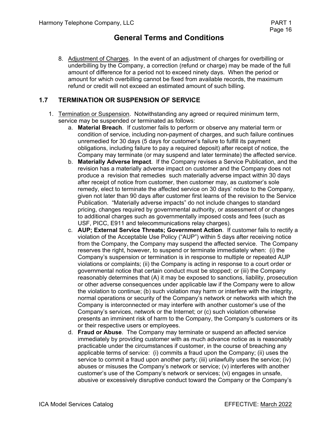8. Adjustment of Charges. In the event of an adjustment of charges for overbilling or underbilling by the Company, a correction (refund or charge) may be made of the full amount of difference for a period not to exceed ninety days. When the period or amount for which overbilling cannot be fixed from available records, the maximum refund or credit will not exceed an estimated amount of such billing.

### **1.7 TERMINATION OR SUSPENSION OF SERVICE**

- 1. Termination or Suspension. Notwithstanding any agreed or required minimum term, service may be suspended or terminated as follows:
	- a. **Material Breach**. If customer fails to perform or observe any material term or condition of service, including non-payment of charges, and such failure continues unremedied for 30 days (5 days for customer's failure to fulfill its payment obligations, including failure to pay a required deposit) after receipt of notice, the Company may terminate (or may suspend and later terminate) the affected service.
	- b. **Materially Adverse Impact**. If the Company revises a Service Publication, and the revision has a materially adverse impact on customer and the Company does not produce a revision that remedies such materially adverse impact within 30 days after receipt of notice from customer, then customer may, as customer's sole remedy, elect to terminate the affected service on 30 days' notice to the Company, given not later than 90 days after customer first learns of the revision to the Service Publication. "Materially adverse impacts" do not include changes to standard pricing, changes required by governmental authority, or assessment of or changes to additional charges such as governmentally imposed costs and fees (such as USF, PICC, E911 and telecommunications relay charges).
	- c. **AUP; External Service Threats; Government Action**. If customer fails to rectify a violation of the Acceptable Use Policy ("AUP") within 5 days after receiving notice from the Company, the Company may suspend the affected service. The Company reserves the right, however, to suspend or terminate immediately when: (i) the Company's suspension or termination is in response to multiple or repeated AUP violations or complaints; (ii) the Company is acting in response to a court order or governmental notice that certain conduct must be stopped; or (iii) the Company reasonably determines that (A) it may be exposed to sanctions, liability, prosecution or other adverse consequences under applicable law if the Company were to allow the violation to continue; (b) such violation may harm or interfere with the integrity, normal operations or security of the Company's network or networks with which the Company is interconnected or may interfere with another customer's use of the Company's services, network or the Internet; or (c) such violation otherwise presents an imminent risk of harm to the Company, the Company's customers or its or their respective users or employees.
	- d. **Fraud or Abuse**. The Company may terminate or suspend an affected service immediately by providing customer with as much advance notice as is reasonably practicable under the circumstances if customer, in the course of breaching any applicable terms of service: (i) commits a fraud upon the Company; (ii) uses the service to commit a fraud upon another party; (iii) unlawfully uses the service; (iv) abuses or misuses the Company's network or service; (v) interferes with another customer's use of the Company's network or services; (vi) engages in unsafe, abusive or excessively disruptive conduct toward the Company or the Company's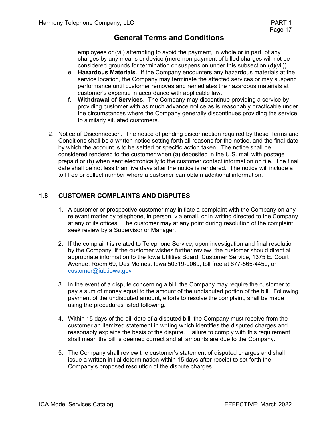employees or (vii) attempting to avoid the payment, in whole or in part, of any charges by any means or device (mere non-payment of billed charges will not be considered grounds for termination or suspension under this subsection (d)(vii)).

- e. **Hazardous Materials**. If the Company encounters any hazardous materials at the service location, the Company may terminate the affected services or may suspend performance until customer removes and remediates the hazardous materials at customer's expense in accordance with applicable law.
- f. **Withdrawal of Services**. The Company may discontinue providing a service by providing customer with as much advance notice as is reasonably practicable under the circumstances where the Company generally discontinues providing the service to similarly situated customers.
- 2. Notice of Disconnection. The notice of pending disconnection required by these Terms and Conditions shall be a written notice setting forth all reasons for the notice, and the final date by which the account is to be settled or specific action taken. The notice shall be considered rendered to the customer when (a) deposited in the U.S. mail with postage prepaid or (b) when sent electronically to the customer contact information on file. The final date shall be not less than five days after the notice is rendered. The notice will include a toll free or collect number where a customer can obtain additional information.

### **1.8 CUSTOMER COMPLAINTS AND DISPUTES**

- 1. A customer or prospective customer may initiate a complaint with the Company on any relevant matter by telephone, in person, via email, or in writing directed to the Company at any of its offices. The customer may at any point during resolution of the complaint seek review by a Supervisor or Manager.
- 2. If the complaint is related to Telephone Service, upon investigation and final resolution by the Company, if the customer wishes further review, the customer should direct all appropriate information to the Iowa Utilities Board, Customer Service, 1375 E. Court Avenue, Room 69, Des Moines, Iowa 50319-0069, toll free at 877-565-4450, or customer@iub.iowa.gov
- 3. In the event of a dispute concerning a bill, the Company may require the customer to pay a sum of money equal to the amount of the undisputed portion of the bill. Following payment of the undisputed amount, efforts to resolve the complaint, shall be made using the procedures listed following.
- 4. Within 15 days of the bill date of a disputed bill, the Company must receive from the customer an itemized statement in writing which identifies the disputed charges and reasonably explains the basis of the dispute. Failure to comply with this requirement shall mean the bill is deemed correct and all amounts are due to the Company.
- 5. The Company shall review the customer's statement of disputed charges and shall issue a written initial determination within 15 days after receipt to set forth the Company's proposed resolution of the dispute charges.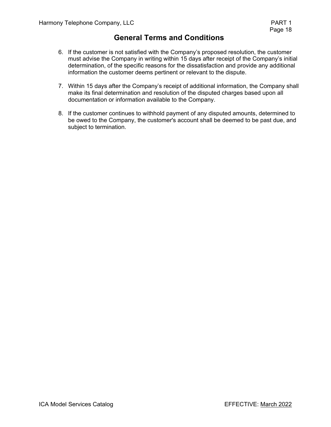- 6. If the customer is not satisfied with the Company's proposed resolution, the customer must advise the Company in writing within 15 days after receipt of the Company's initial determination, of the specific reasons for the dissatisfaction and provide any additional information the customer deems pertinent or relevant to the dispute.
- 7. Within 15 days after the Company's receipt of additional information, the Company shall make its final determination and resolution of the disputed charges based upon all documentation or information available to the Company.
- 8. If the customer continues to withhold payment of any disputed amounts, determined to be owed to the Company, the customer's account shall be deemed to be past due, and subject to termination.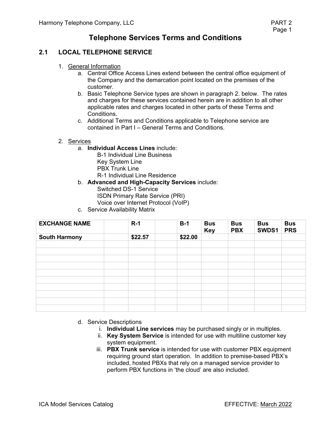### **2.1 LOCAL TELEPHONE SERVICE**

- 1. General Information
	- a. Central Office Access Lines extend between the central office equipment of the Company and the demarcation point located on the premises of the customer.
	- b. Basic Telephone Service types are shown in paragraph 2. below. The rates and charges for these services contained herein are in addition to all other applicable rates and charges located in other parts of these Terms and Conditions.
	- c. Additional Terms and Conditions applicable to Telephone service are contained in Part I – General Terms and Conditions.
- 2. Services
	- a. **Individual Access Lines** include:
		- B-1 Individual Line Business Key System Line PBX Trunk Line R-1 Individual Line Residence
	- b. **Advanced and High-Capacity Services** include: Switched DS-1 Service ISDN Primary Rate Service (PRI)
		- Voice over Internet Protocol (VoIP)
	- c. Service Availability Matrix

| <b>EXCHANGE NAME</b> | $R-1$   | $B-1$   | <b>Bus</b><br><b>Key</b> | <b>Bus</b><br><b>PBX</b> | <b>Bus</b><br>SWDS1 | <b>Bus</b><br><b>PRS</b> |
|----------------------|---------|---------|--------------------------|--------------------------|---------------------|--------------------------|
| <b>South Harmony</b> | \$22.57 | \$22.00 |                          |                          |                     |                          |
|                      |         |         |                          |                          |                     |                          |
|                      |         |         |                          |                          |                     |                          |
|                      |         |         |                          |                          |                     |                          |
|                      |         |         |                          |                          |                     |                          |
|                      |         |         |                          |                          |                     |                          |
|                      |         |         |                          |                          |                     |                          |
|                      |         |         |                          |                          |                     |                          |
|                      |         |         |                          |                          |                     |                          |
|                      |         |         |                          |                          |                     |                          |

- d. Service Descriptions
	- i. **Individual Line services** may be purchased singly or in multiples.
	- ii. **Key System Service** is intended for use with multiline customer key system equipment.
	- iii. **PBX Trunk service** is intended for use with customer PBX equipment requiring ground start operation. In addition to premise-based PBX's included, hosted PBXs that rely on a managed service provider to perform PBX functions in 'the cloud' are also included.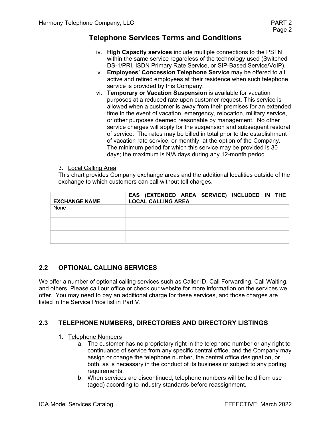- iv. **High Capacity services** include multiple connections to the PSTN within the same service regardless of the technology used (Switched DS-1/PRI, ISDN Primary Rate Service, or SIP-Based Service/VoIP).
- v. **Employees' Concession Telephone Service** may be offered to all active and retired employees at their residence when such telephone service is provided by this Company.
- vi. **Temporary or Vacation Suspension** is available for vacation purposes at a reduced rate upon customer request. This service is allowed when a customer is away from their premises for an extended time in the event of vacation, emergency, relocation, military service, or other purposes deemed reasonable by management. No other service charges will apply for the suspension and subsequent restoral of service. The rates may be billed in total prior to the establishment of vacation rate service, or monthly, at the option of the Company. The minimum period for which this service may be provided is 30 days; the maximum is N/A days during any 12-month period.

#### 3. Local Calling Area

This chart provides Company exchange areas and the additional localities outside of the exchange to which customers can call without toll charges.

| <b>EXCHANGE NAME</b> | EAS (EXTENDED AREA SERVICE) INCLUDED IN THE<br><b>LOCAL CALLING AREA</b> |
|----------------------|--------------------------------------------------------------------------|
| None                 |                                                                          |
|                      |                                                                          |
|                      |                                                                          |
|                      |                                                                          |
|                      |                                                                          |
|                      |                                                                          |

### **2.2 OPTIONAL CALLING SERVICES**

We offer a number of optional calling services such as Caller ID, Call Forwarding, Call Waiting, and others. Please call our office or check our website for more information on the services we offer. You may need to pay an additional charge for these services, and those charges are listed in the Service Price list in Part V.

### **2.3 TELEPHONE NUMBERS, DIRECTORIES AND DIRECTORY LISTINGS**

#### 1. Telephone Numbers

- a. The customer has no proprietary right in the telephone number or any right to continuance of service from any specific central office, and the Company may assign or change the telephone number, the central office designation, or both, as is necessary in the conduct of its business or subject to any porting requirements.
- b. When services are discontinued, telephone numbers will be held from use (aged) according to industry standards before reassignment.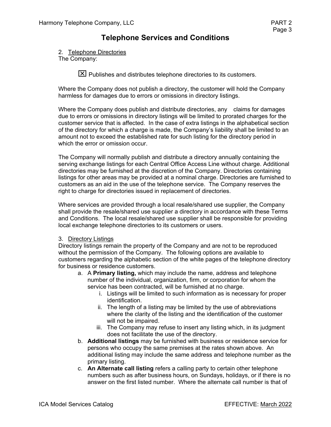#### 2. Telephone Directories

The Company:

 $\boxtimes$  Publishes and distributes telephone directories to its customers.

Where the Company does not publish a directory, the customer will hold the Company harmless for damages due to errors or omissions in directory listings.

Where the Company does publish and distribute directories, any claims for damages due to errors or omissions in directory listings will be limited to prorated charges for the customer service that is affected. In the case of extra listings in the alphabetical section of the directory for which a charge is made, the Company's liability shall be limited to an amount not to exceed the established rate for such listing for the directory period in which the error or omission occur.

The Company will normally publish and distribute a directory annually containing the serving exchange listings for each Central Office Access Line without charge. Additional directories may be furnished at the discretion of the Company. Directories containing listings for other areas may be provided at a nominal charge. Directories are furnished to customers as an aid in the use of the telephone service. The Company reserves the right to charge for directories issued in replacement of directories.

Where services are provided through a local resale/shared use supplier, the Company shall provide the resale/shared use supplier a directory in accordance with these Terms and Conditions. The local resale/shared use supplier shall be responsible for providing local exchange telephone directories to its customers or users.

#### 3. Directory Listings

Directory listings remain the property of the Company and are not to be reproduced without the permission of the Company. The following options are available to customers regarding the alphabetic section of the white pages of the telephone directory for business or residence customers.

- a. A **Primary listing,** which may include the name, address and telephone number of the individual, organization, firm, or corporation for whom the service has been contracted, will be furnished at no charge.
	- i. Listings will be limited to such information as is necessary for proper identification.
	- ii. The length of a listing may be limited by the use of abbreviations where the clarity of the listing and the identification of the customer will not be impaired.
	- iii. The Company may refuse to insert any listing which, in its judgment does not facilitate the use of the directory.
- b. **Additional listings** may be furnished with business or residence service for persons who occupy the same premises at the rates shown above. An additional listing may include the same address and telephone number as the primary listing.
- c. **An Alternate call listing** refers a calling party to certain other telephone numbers such as after business hours, on Sundays, holidays, or if there is no answer on the first listed number. Where the alternate call number is that of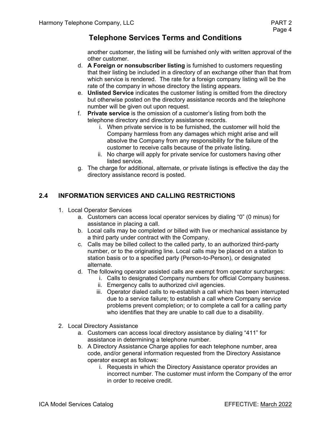another customer, the listing will be furnished only with written approval of the other customer.

- d. **A Foreign or nonsubscriber listing** is furnished to customers requesting that their listing be included in a directory of an exchange other than that from which service is rendered. The rate for a foreign company listing will be the rate of the company in whose directory the listing appears.
- e. **Unlisted Service** indicates the customer listing is omitted from the directory but otherwise posted on the directory assistance records and the telephone number will be given out upon request.
- f. **Private service** is the omission of a customer's listing from both the telephone directory and directory assistance records.
	- i. When private service is to be furnished, the customer will hold the Company harmless from any damages which might arise and will absolve the Company from any responsibility for the failure of the customer to receive calls because of the private listing.
	- ii. No charge will apply for private service for customers having other listed service.
- g. The charge for additional, alternate, or private listings is effective the day the directory assistance record is posted.

### **2.4 INFORMATION SERVICES AND CALLING RESTRICTIONS**

- 1. Local Operator Services
	- a. Customers can access local operator services by dialing "0" (0 minus) for assistance in placing a call.
	- b. Local calls may be completed or billed with live or mechanical assistance by a third party under contract with the Company.
	- c. Calls may be billed collect to the called party, to an authorized third-party number, or to the originating line. Local calls may be placed on a station to station basis or to a specified party (Person-to-Person), or designated alternate.
	- d. The following operator assisted calls are exempt from operator surcharges:
		- i. Calls to designated Company numbers for official Company business.
		- ii. Emergency calls to authorized civil agencies.
		- iii. Operator dialed calls to re-establish a call which has been interrupted due to a service failure; to establish a call where Company service problems prevent completion; or to complete a call for a calling party who identifies that they are unable to call due to a disability.
- 2. Local Directory Assistance
	- a. Customers can access local directory assistance by dialing "411" for assistance in determining a telephone number.
	- b. A Directory Assistance Charge applies for each telephone number, area code, and/or general information requested from the Directory Assistance operator except as follows:
		- i. Requests in which the Directory Assistance operator provides an incorrect number. The customer must inform the Company of the error in order to receive credit.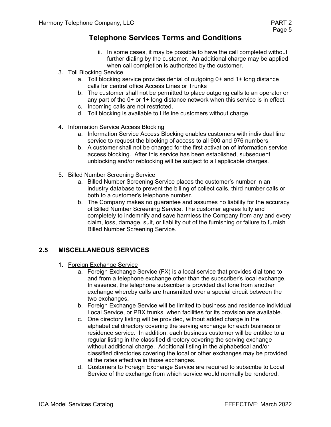- ii. In some cases, it may be possible to have the call completed without further dialing by the customer. An additional charge may be applied when call completion is authorized by the customer.
- 3. Toll Blocking Service
	- a. Toll blocking service provides denial of outgoing 0+ and 1+ long distance calls for central office Access Lines or Trunks
	- b. The customer shall not be permitted to place outgoing calls to an operator or any part of the 0+ or 1+ long distance network when this service is in effect.
	- c. Incoming calls are not restricted.
	- d. Toll blocking is available to Lifeline customers without charge.
- 4. Information Service Access Blocking
	- a. Information Service Access Blocking enables customers with individual line service to request the blocking of access to all 900 and 976 numbers.
	- b. A customer shall not be charged for the first activation of information service access blocking. After this service has been established, subsequent unblocking and/or reblocking will be subject to all applicable charges.
- 5. Billed Number Screening Service
	- a. Billed Number Screening Service places the customer's number in an industry database to prevent the billing of collect calls, third number calls or both to a customer's telephone number.
	- b. The Company makes no guarantee and assumes no liability for the accuracy of Billed Number Screening Service. The customer agrees fully and completely to indemnify and save harmless the Company from any and every claim, loss, damage, suit, or liability out of the furnishing or failure to furnish Billed Number Screening Service.

### **2.5 MISCELLANEOUS SERVICES**

- 1. Foreign Exchange Service
	- a. Foreign Exchange Service (FX) is a local service that provides dial tone to and from a telephone exchange other than the subscriber's local exchange. In essence, the telephone subscriber is provided dial tone from another exchange whereby calls are transmitted over a special circuit between the two exchanges.
	- b. Foreign Exchange Service will be limited to business and residence individual Local Service, or PBX trunks, when facilities for its provision are available.
	- c. One directory listing will be provided, without added charge in the alphabetical directory covering the serving exchange for each business or residence service. In addition, each business customer will be entitled to a regular listing in the classified directory covering the serving exchange without additional charge. Additional listing in the alphabetical and/or classified directories covering the local or other exchanges may be provided at the rates effective in those exchanges.
	- d. Customers to Foreign Exchange Service are required to subscribe to Local Service of the exchange from which service would normally be rendered.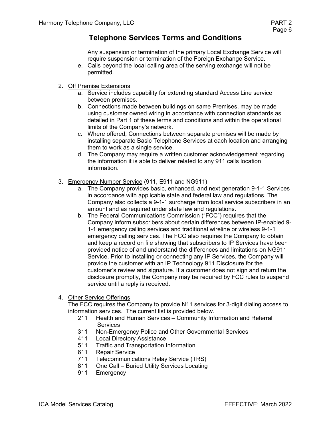Any suspension or termination of the primary Local Exchange Service will require suspension or termination of the Foreign Exchange Service.

- e. Calls beyond the local calling area of the serving exchange will not be permitted.
- 2. Off Premise Extensions
	- a. Service includes capability for extending standard Access Line service between premises.
	- b. Connections made between buildings on same Premises, may be made using customer owned wiring in accordance with connection standards as detailed in Part 1 of these terms and conditions and within the operational limits of the Company's network.
	- c. Where offered, Connections between separate premises will be made by installing separate Basic Telephone Services at each location and arranging them to work as a single service.
	- d. The Company may require a written customer acknowledgement regarding the information it is able to deliver related to any 911 calls location information.
- 3. Emergency Number Service (911, E911 and NG911)
	- a. The Company provides basic, enhanced, and next generation 9-1-1 Services in accordance with applicable state and federal law and regulations. The Company also collects a 9-1-1 surcharge from local service subscribers in an amount and as required under state law and regulations.
	- b. The Federal Communications Commission ("FCC") requires that the Company inform subscribers about certain differences between IP-enabled 9- 1-1 emergency calling services and traditional wireline or wireless 9-1-1 emergency calling services. The FCC also requires the Company to obtain and keep a record on file showing that subscribers to IP Services have been provided notice of and understand the differences and limitations on NG911 Service. Prior to installing or connecting any IP Services, the Company will provide the customer with an IP Technology 911 Disclosure for the customer's review and signature. If a customer does not sign and return the disclosure promptly, the Company may be required by FCC rules to suspend service until a reply is received.

#### 4. Other Service Offerings

The FCC requires the Company to provide N11 services for 3-digit dialing access to information services. The current list is provided below.

- 211 Health and Human Services Community Information and Referral **Services**
- 311 Non-Emergency Police and Other Governmental Services
- 411 Local Directory Assistance<br>511 Traffic and Transportation I
- Traffic and Transportation Information
- 611 Repair Service
- 711 Telecommunications Relay Service (TRS)
- 811 One Call Buried Utility Services Locating<br>911 Emergency
- Emergency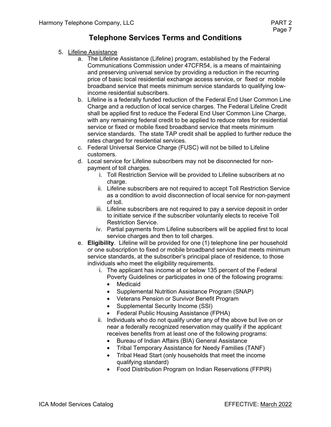- 5. Lifeline Assistance
	- a. The Lifeline Assistance (Lifeline) program, established by the Federal Communications Commission under 47CFR54, is a means of maintaining and preserving universal service by providing a reduction in the recurring price of basic local residential exchange access service, or fixed or mobile broadband service that meets minimum service standards to qualifying lowincome residential subscribers.
	- b. Lifeline is a federally funded reduction of the Federal End User Common Line Charge and a reduction of local service charges. The Federal Lifeline Credit shall be applied first to reduce the Federal End User Common Line Charge, with any remaining federal credit to be applied to reduce rates for residential service or fixed or mobile fixed broadband service that meets minimum service standards. The state TAP credit shall be applied to further reduce the rates charged for residential services.
	- c. Federal Universal Service Charge (FUSC) will not be billed to Lifeline customers.
	- d. Local service for Lifeline subscribers may not be disconnected for nonpayment of toll charges.
		- i. Toll Restriction Service will be provided to Lifeline subscribers at no charge.
		- ii. Lifeline subscribers are not required to accept Toll Restriction Service as a condition to avoid disconnection of local service for non-payment of toll.
		- iii. Lifeline subscribers are not required to pay a service deposit in order to initiate service if the subscriber voluntarily elects to receive Toll Restriction Service.
		- iv. Partial payments from Lifeline subscribers will be applied first to local service charges and then to toll charges.
	- e. **Eligibility**. Lifeline will be provided for one (1) telephone line per household or one subscription to fixed or mobile broadband service that meets minimum service standards, at the subscriber's principal place of residence, to those individuals who meet the eligibility requirements.
		- i. The applicant has income at or below 135 percent of the Federal Poverty Guidelines or participates in one of the following programs:
			- **Medicaid**
			- Supplemental Nutrition Assistance Program (SNAP)
			- Veterans Pension or Survivor Benefit Program
			- Supplemental Security Income (SSI)
			- Federal Public Housing Assistance (FPHA)
		- ii. Individuals who do not qualify under any of the above but live on or near a federally recognized reservation may qualify if the applicant receives benefits from at least one of the following programs:
			- Bureau of Indian Affairs (BIA) General Assistance
			- Tribal Temporary Assistance for Needy Families (TANF)
			- Tribal Head Start (only households that meet the income qualifying standard)
			- Food Distribution Program on Indian Reservations (FFPIR)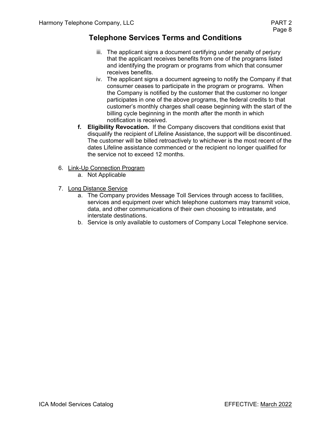- iii. The applicant signs a document certifying under penalty of perjury that the applicant receives benefits from one of the programs listed and identifying the program or programs from which that consumer receives benefits.
- iv. The applicant signs a document agreeing to notify the Company if that consumer ceases to participate in the program or programs. When the Company is notified by the customer that the customer no longer participates in one of the above programs, the federal credits to that customer's monthly charges shall cease beginning with the start of the billing cycle beginning in the month after the month in which notification is received.
- **f. Eligibility Revocation.** If the Company discovers that conditions exist that disqualify the recipient of Lifeline Assistance, the support will be discontinued. The customer will be billed retroactively to whichever is the most recent of the dates Lifeline assistance commenced or the recipient no longer qualified for the service not to exceed 12 months.
- 6. Link-Up Connection Program
	- a. Not Applicable
- 7. Long Distance Service
	- a. The Company provides Message Toll Services through access to facilities, services and equipment over which telephone customers may transmit voice, data, and other communications of their own choosing to intrastate, and interstate destinations.
	- b. Service is only available to customers of Company Local Telephone service.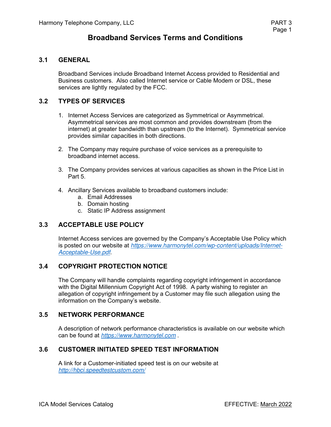### **Broadband Services Terms and Conditions**

#### **3.1 GENERAL**

Broadband Services include Broadband Internet Access provided to Residential and Business customers. Also called Internet service or Cable Modem or DSL, these services are lightly regulated by the FCC.

### **3.2 TYPES OF SERVICES**

- 1. Internet Access Services are categorized as Symmetrical or Asymmetrical. Asymmetrical services are most common and provides downstream (from the internet) at greater bandwidth than upstream (to the Internet). Symmetrical service provides similar capacities in both directions.
- 2. The Company may require purchase of voice services as a prerequisite to broadband internet access.
- 3. The Company provides services at various capacities as shown in the Price List in Part 5.
- 4. Ancillary Services available to broadband customers include:
	- a. Email Addresses
	- b. Domain hosting
	- c. Static IP Address assignment

### **3.3 ACCEPTABLE USE POLICY**

Internet Access services are governed by the Company's Acceptable Use Policy which is posted on our website at *https://www.harmonytel.com/wp-content/uploads/Internet-Acceptable-Use.pdf*.

### **3.4 COPYRIGHT PROTECTION NOTICE**

The Company will handle complaints regarding copyright infringement in accordance with the Digital Millennium Copyright Act of 1998. A party wishing to register an allegation of copyright infringement by a Customer may file such allegation using the information on the Company's website.

#### **3.5 NETWORK PERFORMANCE**

A description of network performance characteristics is available on our website which can be found at *https://www.harmonytel.com* .

#### **3.6 CUSTOMER INITIATED SPEED TEST INFORMATION**

A link for a Customer-initiated speed test is on our website at *http://hbci.speedtestcustom.com/*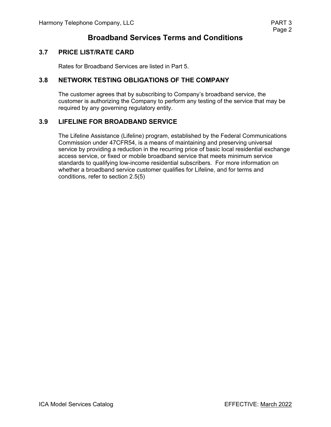# **Broadband Services Terms and Conditions**

### **3.7 PRICE LIST/RATE CARD**

Rates for Broadband Services are listed in Part 5.

#### **3.8 NETWORK TESTING OBLIGATIONS OF THE COMPANY**

The customer agrees that by subscribing to Company's broadband service, the customer is authorizing the Company to perform any testing of the service that may be required by any governing regulatory entity.

#### **3.9 LIFELINE FOR BROADBAND SERVICE**

The Lifeline Assistance (Lifeline) program, established by the Federal Communications Commission under 47CFR54, is a means of maintaining and preserving universal service by providing a reduction in the recurring price of basic local residential exchange access service, or fixed or mobile broadband service that meets minimum service standards to qualifying low-income residential subscribers. For more information on whether a broadband service customer qualifies for Lifeline, and for terms and conditions, refer to section 2.5(5)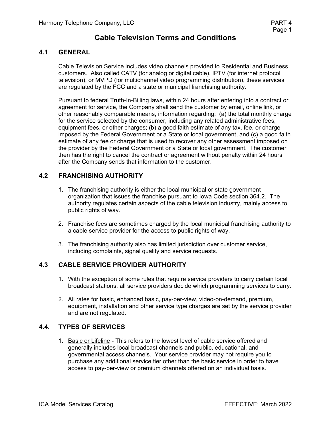## **Cable Television Terms and Conditions**

### **4.1 GENERAL**

Cable Television Service includes video channels provided to Residential and Business customers. Also called CATV (for analog or digital cable), IPTV (for internet protocol television), or MVPD (for multichannel video programming distribution), these services are regulated by the FCC and a state or municipal franchising authority.

Pursuant to federal Truth-In-Billing laws, within 24 hours after entering into a contract or agreement for service, the Company shall send the customer by email, online link, or other reasonably comparable means, information regarding: (a) the total monthly charge for the service selected by the consumer, including any related administrative fees, equipment fees, or other charges; (b) a good faith estimate of any tax, fee, or charge imposed by the Federal Government or a State or local government, and (c) a good faith estimate of any fee or charge that is used to recover any other assessment imposed on the provider by the Federal Government or a State or local government. The customer then has the right to cancel the contract or agreement without penalty within 24 hours after the Company sends that information to the customer.

### **4.2 FRANCHISING AUTHORITY**

- 1. The franchising authority is either the local municipal or state government organization that issues the franchise pursuant to Iowa Code section 364.2. The authority regulates certain aspects of the cable television industry, mainly access to public rights of way.
- 2. Franchise fees are sometimes charged by the local municipal franchising authority to a cable service provider for the access to public rights of way.
- 3. The franchising authority also has limited jurisdiction over customer service, including complaints, signal quality and service requests.

### **4.3 CABLE SERVICE PROVIDER AUTHORITY**

- 1. With the exception of some rules that require service providers to carry certain local broadcast stations, all service providers decide which programming services to carry.
- 2. All rates for basic, enhanced basic, pay-per-view, video-on-demand, premium, equipment, installation and other service type charges are set by the service provider and are not regulated.

### **4.4. TYPES OF SERVICES**

1. Basic or Lifeline - This refers to the lowest level of cable service offered and generally includes local broadcast channels and public, educational, and governmental access channels. Your service provider may not require you to purchase any additional service tier other than the basic service in order to have access to pay-per-view or premium channels offered on an individual basis.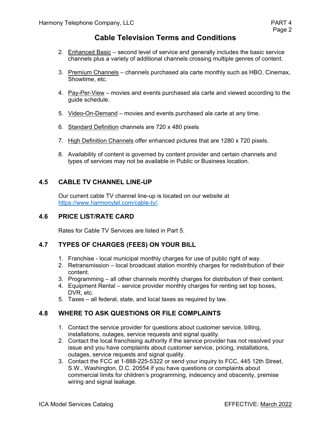# **Cable Television Terms and Conditions**

- 2. Enhanced Basic second level of service and generally includes the basic service channels plus a variety of additional channels crossing multiple genres of content.
- 3. Premium Channels channels purchased ala carte monthly such as HBO, Cinemax, Showtime, etc.
- 4. Pay-Per-View movies and events purchased ala carte and viewed according to the guide schedule.
- 5. Video-On-Demand movies and events purchased ala carte at any time.
- 6. Standard Definition channels are 720 x 480 pixels
- 7. High Definition Channels offer enhanced pictures that are 1280 x 720 pixels.
- 8. Availability of content is governed by content provider and certain channels and types of services may not be available in Public or Business location.

### **4.5 CABLE TV CHANNEL LINE-UP**

Our current cable TV channel line-up is located on our website at https://www.harmonytel.com/cable-tv/.

### **4.6 PRICE LIST/RATE CARD**

Rates for Cable TV Services are listed in Part 5.

### **4.7 TYPES OF CHARGES (FEES) ON YOUR BILL**

- 1. Franchise local municipal monthly charges for use of public right of way.
- 2. Retransmission local broadcast station monthly charges for redistribution of their content.
- 3. Programming all other channels monthly charges for distribution of their content.
- 4. Equipment Rental service provider monthly charges for renting set top boxes, DVR, etc.
- 5. Taxes all federal, state, and local taxes as required by law.

### **4.8 WHERE TO ASK QUESTIONS OR FILE COMPLAINTS**

- 1. Contact the service provider for questions about customer service, billing, installations, outages, service requests and signal quality.
- 2. Contact the local franchising authority if the service provider has not resolved your issue and you have complaints about customer service, pricing, installations, outages, service requests and signal quality.
- 3. Contact the FCC at 1-888-225-5322 or send your inquiry to FCC, 445 12th Street, S.W., Washington, D.C. 20554 if you have questions or complaints about commercial limits for children's programming, indecency and obscenity, premise wiring and signal leakage.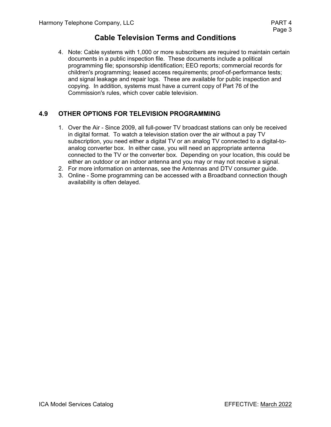# **Cable Television Terms and Conditions**

4. Note: Cable systems with 1,000 or more subscribers are required to maintain certain documents in a public inspection file. These documents include a political programming file; sponsorship identification; EEO reports; commercial records for children's programming; leased access requirements; proof-of-performance tests; and signal leakage and repair logs. These are available for public inspection and copying. In addition, systems must have a current copy of Part 76 of the Commission's rules, which cover cable television.

### **4.9 OTHER OPTIONS FOR TELEVISION PROGRAMMING**

- 1. Over the Air Since 2009, all full-power TV broadcast stations can only be received in digital format. To watch a television station over the air without a pay TV subscription, you need either a digital TV or an analog TV connected to a digital-toanalog converter box. In either case, you will need an appropriate antenna connected to the TV or the converter box. Depending on your location, this could be either an outdoor or an indoor antenna and you may or may not receive a signal.
- 2. For more information on antennas, see the Antennas and DTV consumer guide.
- 3. Online Some programming can be accessed with a Broadband connection though availability is often delayed.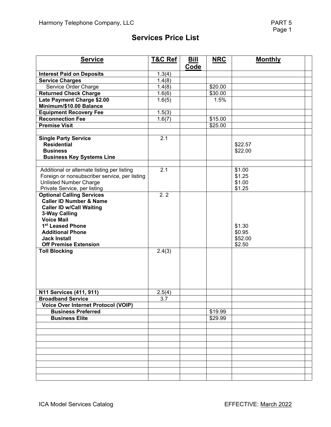# **Services Price List**

| <b>Service</b>                                                                                                                                                                                                                                                                 | <b>T&amp;C Ref</b> | <b>Bill</b> | <b>NRC</b> | <b>Monthly</b>                        |  |
|--------------------------------------------------------------------------------------------------------------------------------------------------------------------------------------------------------------------------------------------------------------------------------|--------------------|-------------|------------|---------------------------------------|--|
|                                                                                                                                                                                                                                                                                |                    | Code        |            |                                       |  |
| <b>Interest Paid on Deposits</b>                                                                                                                                                                                                                                               | 1.3(4)             |             |            |                                       |  |
| <b>Service Charges</b>                                                                                                                                                                                                                                                         | 1.4(8)             |             |            |                                       |  |
| Service Order Charge                                                                                                                                                                                                                                                           | 1.4(8)             |             | \$20.00    |                                       |  |
| <b>Returned Check Charge</b>                                                                                                                                                                                                                                                   | 1.6(6)             |             | \$30.00    |                                       |  |
| Late Payment Charge \$2.00                                                                                                                                                                                                                                                     | 1.6(5)             |             | 1.5%       |                                       |  |
| Minimum/\$10.00 Balance                                                                                                                                                                                                                                                        |                    |             |            |                                       |  |
| <b>Equipment Recovery Fee</b>                                                                                                                                                                                                                                                  | 1.5(3)             |             |            |                                       |  |
| <b>Reconnection Fee</b>                                                                                                                                                                                                                                                        | 1.6(7)             |             | \$15.00    |                                       |  |
| <b>Premise Visit</b>                                                                                                                                                                                                                                                           |                    |             | \$25.00    |                                       |  |
| <b>Single Party Service</b><br><b>Residential</b><br><b>Business</b><br><b>Business Key Systems Line</b>                                                                                                                                                                       | 2.1                |             |            | \$22.57<br>\$22.00                    |  |
| Additional or alternate listing per listing<br>Foreign or nonsubscriber service, per listing<br><b>Unlisted Number Charge</b><br>Private Service, per listing                                                                                                                  | 2.1                |             |            | \$1.00<br>\$1.25<br>\$1.00<br>\$1.25  |  |
| <b>Optional Calling Services</b><br>Caller ID Number & Name<br><b>Caller ID w/Call Waiting</b><br>3-Way Calling<br><b>Voice Mail</b><br>1 <sup>st</sup> Leased Phone<br><b>Additional Phone</b><br><b>Jack Install</b><br><b>Off Premise Extension</b><br><b>Toll Blocking</b> | 2.2<br>2.4(3)      |             |            | \$1.30<br>\$0.95<br>\$52.00<br>\$2.50 |  |
| N11 Services (411, 911)<br><b>Broadband Service</b>                                                                                                                                                                                                                            | 2.5(4)<br>3.7      |             |            |                                       |  |
| <b>Voice Over Internet Protocol (VOIP)</b>                                                                                                                                                                                                                                     |                    |             |            |                                       |  |
| <b>Business Preferred</b>                                                                                                                                                                                                                                                      |                    |             | \$19.99    |                                       |  |
| <b>Business Elite</b>                                                                                                                                                                                                                                                          |                    |             | \$29.99    |                                       |  |
|                                                                                                                                                                                                                                                                                |                    |             |            |                                       |  |
|                                                                                                                                                                                                                                                                                |                    |             |            |                                       |  |
|                                                                                                                                                                                                                                                                                |                    |             |            |                                       |  |
|                                                                                                                                                                                                                                                                                |                    |             |            |                                       |  |
|                                                                                                                                                                                                                                                                                |                    |             |            |                                       |  |
|                                                                                                                                                                                                                                                                                |                    |             |            |                                       |  |
|                                                                                                                                                                                                                                                                                |                    |             |            |                                       |  |
|                                                                                                                                                                                                                                                                                |                    |             |            |                                       |  |
|                                                                                                                                                                                                                                                                                |                    |             |            |                                       |  |